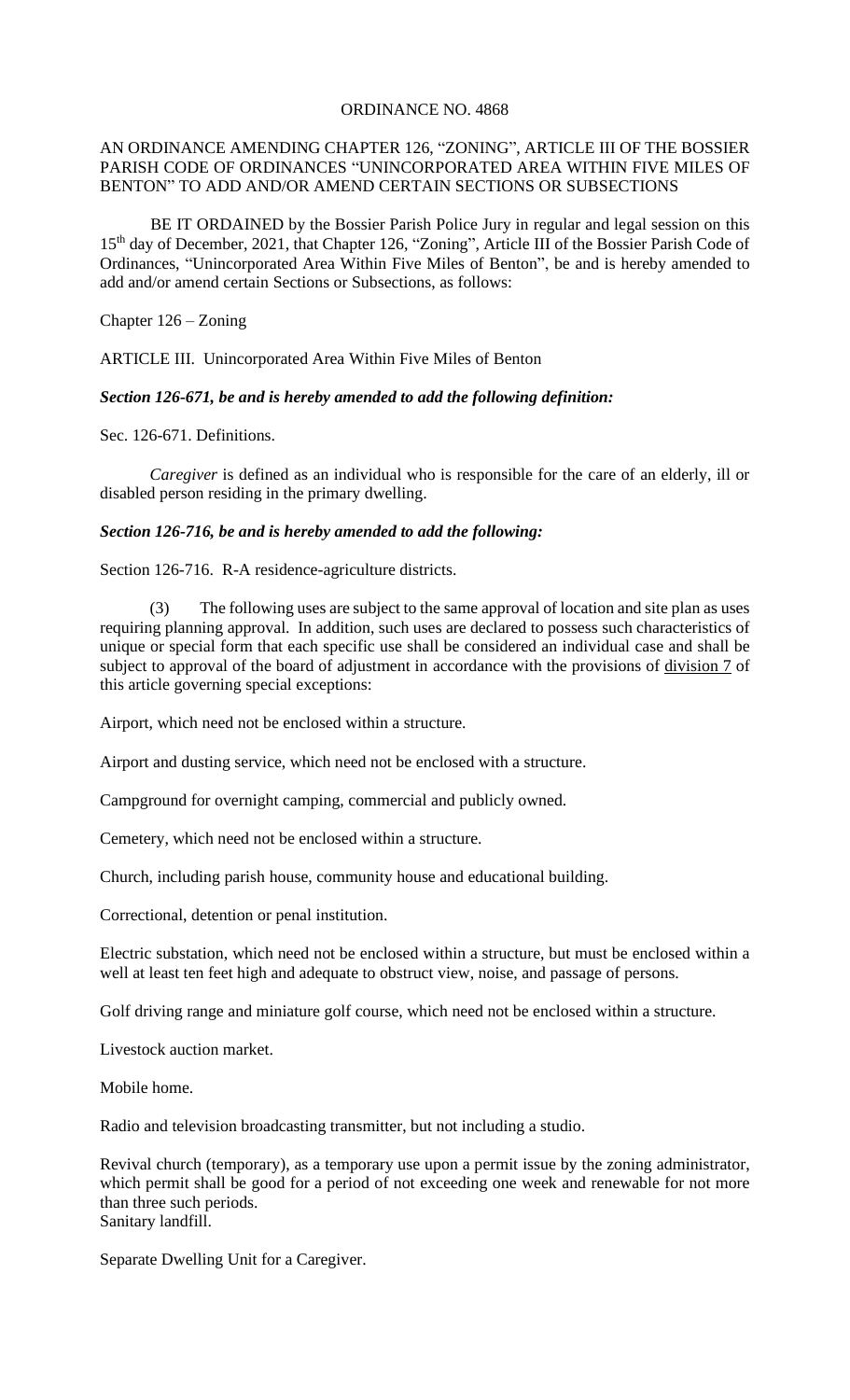### ORDINANCE NO. 4868

### AN ORDINANCE AMENDING CHAPTER 126, "ZONING", ARTICLE III OF THE BOSSIER PARISH CODE OF ORDINANCES "UNINCORPORATED AREA WITHIN FIVE MILES OF BENTON" TO ADD AND/OR AMEND CERTAIN SECTIONS OR SUBSECTIONS

 BE IT ORDAINED by the Bossier Parish Police Jury in regular and legal session on this 15th day of December, 2021, that Chapter 126, "Zoning", Article III of the Bossier Parish Code of Ordinances, "Unincorporated Area Within Five Miles of Benton", be and is hereby amended to add and/or amend certain Sections or Subsections, as follows:

Chapter 126 – Zoning

ARTICLE III. Unincorporated Area Within Five Miles of Benton

*Section 126-671, be and is hereby amended to add the following definition:*

Sec. 126-671. Definitions.

*Caregiver* is defined as an individual who is responsible for the care of an elderly, ill or disabled person residing in the primary dwelling.

### *Section 126-716, be and is hereby amended to add the following:*

Section 126-716. R-A residence-agriculture districts.

(3) The following uses are subject to the same approval of location and site plan as uses requiring planning approval. In addition, such uses are declared to possess such characteristics of unique or special form that each specific use shall be considered an individual case and shall be subject to approval of the board of adjustment in accordance with the provisions of division 7 of this article governing special exceptions:

Airport, which need not be enclosed within a structure.

Airport and dusting service, which need not be enclosed with a structure.

Campground for overnight camping, commercial and publicly owned.

Cemetery, which need not be enclosed within a structure.

Church, including parish house, community house and educational building.

Correctional, detention or penal institution.

Electric substation, which need not be enclosed within a structure, but must be enclosed within a well at least ten feet high and adequate to obstruct view, noise, and passage of persons.

Golf driving range and miniature golf course, which need not be enclosed within a structure.

Livestock auction market.

Mobile home.

Radio and television broadcasting transmitter, but not including a studio.

Revival church (temporary), as a temporary use upon a permit issue by the zoning administrator, which permit shall be good for a period of not exceeding one week and renewable for not more than three such periods. Sanitary landfill.

Separate Dwelling Unit for a Caregiver.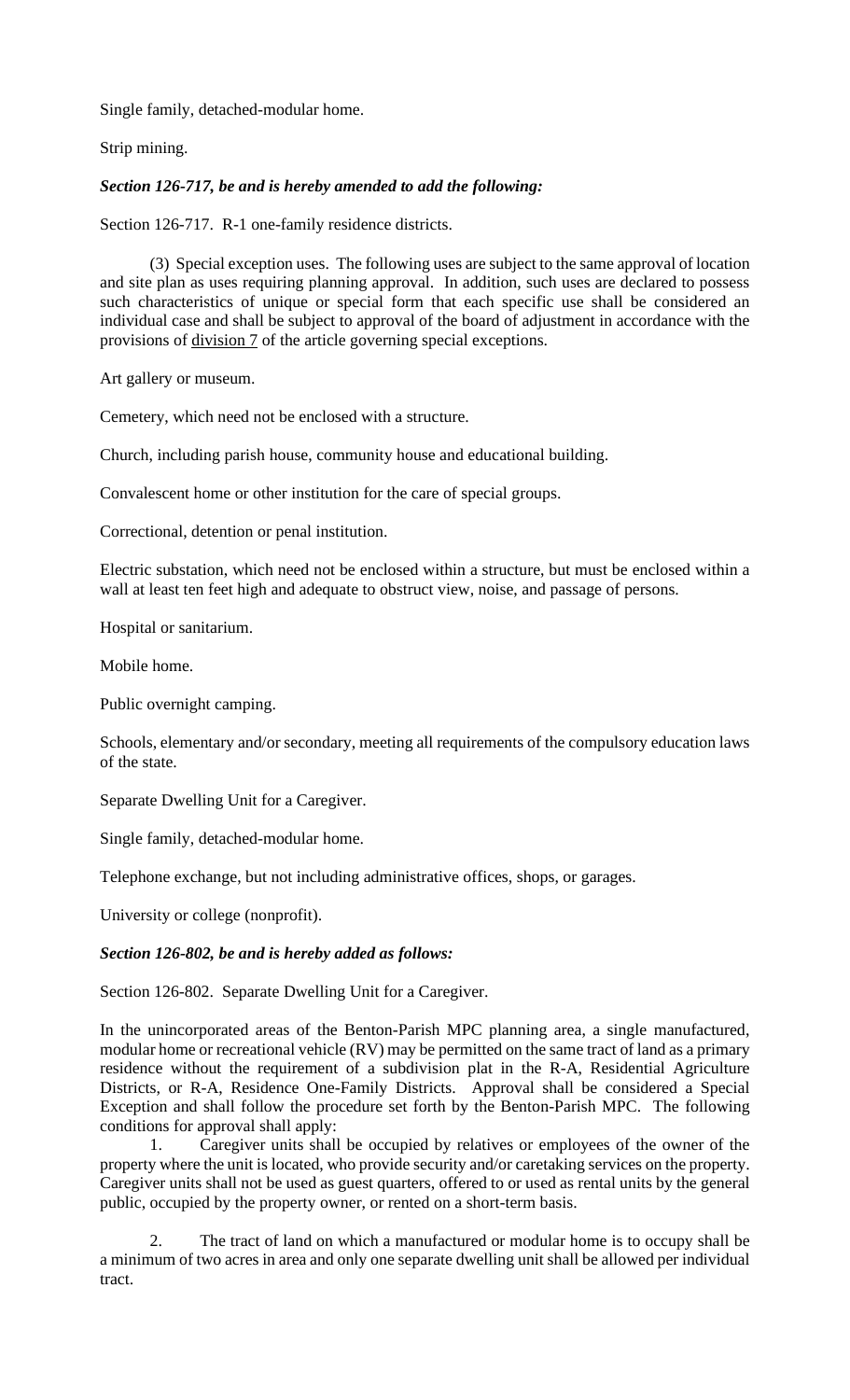Single family, detached-modular home.

Strip mining.

## *Section 126-717, be and is hereby amended to add the following:*

Section 126-717. R-1 one-family residence districts.

(3) Special exception uses. The following uses are subject to the same approval of location and site plan as uses requiring planning approval. In addition, such uses are declared to possess such characteristics of unique or special form that each specific use shall be considered an individual case and shall be subject to approval of the board of adjustment in accordance with the provisions of division 7 of the article governing special exceptions.

Art gallery or museum.

Cemetery, which need not be enclosed with a structure.

Church, including parish house, community house and educational building.

Convalescent home or other institution for the care of special groups.

Correctional, detention or penal institution.

Electric substation, which need not be enclosed within a structure, but must be enclosed within a wall at least ten feet high and adequate to obstruct view, noise, and passage of persons.

Hospital or sanitarium.

Mobile home.

Public overnight camping.

Schools, elementary and/or secondary, meeting all requirements of the compulsory education laws of the state.

Separate Dwelling Unit for a Caregiver.

Single family, detached-modular home.

Telephone exchange, but not including administrative offices, shops, or garages.

University or college (nonprofit).

### *Section 126-802, be and is hereby added as follows:*

Section 126-802. Separate Dwelling Unit for a Caregiver.

In the unincorporated areas of the Benton-Parish MPC planning area, a single manufactured, modular home or recreational vehicle (RV) may be permitted on the same tract of land as a primary residence without the requirement of a subdivision plat in the R-A, Residential Agriculture Districts, or R-A, Residence One-Family Districts. Approval shall be considered a Special Exception and shall follow the procedure set forth by the Benton-Parish MPC. The following conditions for approval shall apply:

1. Caregiver units shall be occupied by relatives or employees of the owner of the property where the unit is located, who provide security and/or caretaking services on the property. Caregiver units shall not be used as guest quarters, offered to or used as rental units by the general public, occupied by the property owner, or rented on a short-term basis.

2. The tract of land on which a manufactured or modular home is to occupy shall be a minimum of two acres in area and only one separate dwelling unit shall be allowed per individual tract.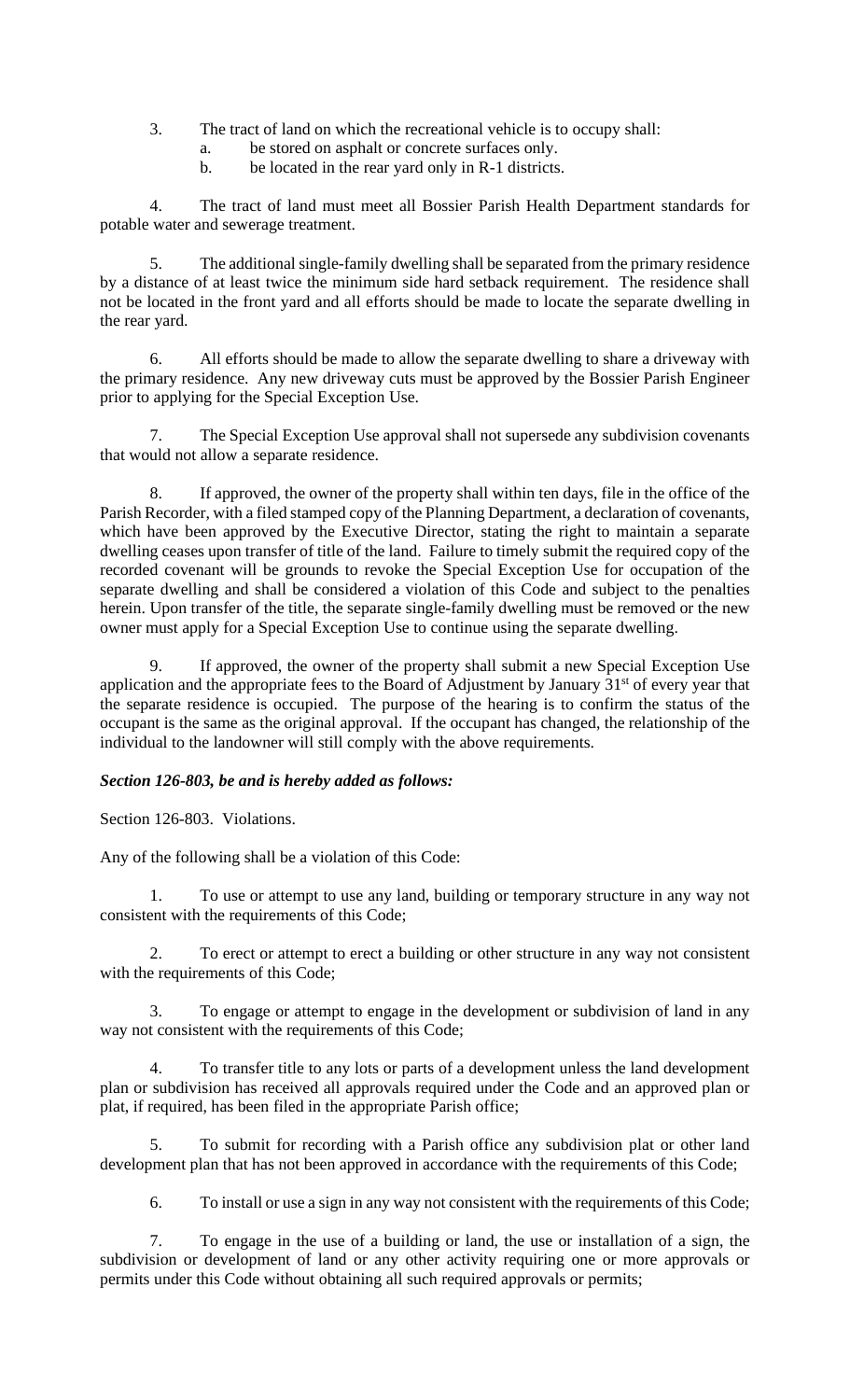- 3. The tract of land on which the recreational vehicle is to occupy shall:
	- a. be stored on asphalt or concrete surfaces only.
	- b. be located in the rear yard only in R-1 districts.

4. The tract of land must meet all Bossier Parish Health Department standards for potable water and sewerage treatment.

5. The additional single-family dwelling shall be separated from the primary residence by a distance of at least twice the minimum side hard setback requirement. The residence shall not be located in the front yard and all efforts should be made to locate the separate dwelling in the rear yard.

6. All efforts should be made to allow the separate dwelling to share a driveway with the primary residence. Any new driveway cuts must be approved by the Bossier Parish Engineer prior to applying for the Special Exception Use.

7. The Special Exception Use approval shall not supersede any subdivision covenants that would not allow a separate residence.

8. If approved, the owner of the property shall within ten days, file in the office of the Parish Recorder, with a filed stamped copy of the Planning Department, a declaration of covenants, which have been approved by the Executive Director, stating the right to maintain a separate dwelling ceases upon transfer of title of the land. Failure to timely submit the required copy of the recorded covenant will be grounds to revoke the Special Exception Use for occupation of the separate dwelling and shall be considered a violation of this Code and subject to the penalties herein. Upon transfer of the title, the separate single-family dwelling must be removed or the new owner must apply for a Special Exception Use to continue using the separate dwelling.

9. If approved, the owner of the property shall submit a new Special Exception Use application and the appropriate fees to the Board of Adjustment by January 31<sup>st</sup> of every year that the separate residence is occupied. The purpose of the hearing is to confirm the status of the occupant is the same as the original approval. If the occupant has changed, the relationship of the individual to the landowner will still comply with the above requirements.

# *Section 126-803, be and is hereby added as follows:*

Section 126-803. Violations.

Any of the following shall be a violation of this Code:

1. To use or attempt to use any land, building or temporary structure in any way not consistent with the requirements of this Code;

2. To erect or attempt to erect a building or other structure in any way not consistent with the requirements of this Code;

3. To engage or attempt to engage in the development or subdivision of land in any way not consistent with the requirements of this Code;

4. To transfer title to any lots or parts of a development unless the land development plan or subdivision has received all approvals required under the Code and an approved plan or plat, if required, has been filed in the appropriate Parish office;

5. To submit for recording with a Parish office any subdivision plat or other land development plan that has not been approved in accordance with the requirements of this Code;

6. To install or use a sign in any way not consistent with the requirements of this Code;

7. To engage in the use of a building or land, the use or installation of a sign, the subdivision or development of land or any other activity requiring one or more approvals or permits under this Code without obtaining all such required approvals or permits;